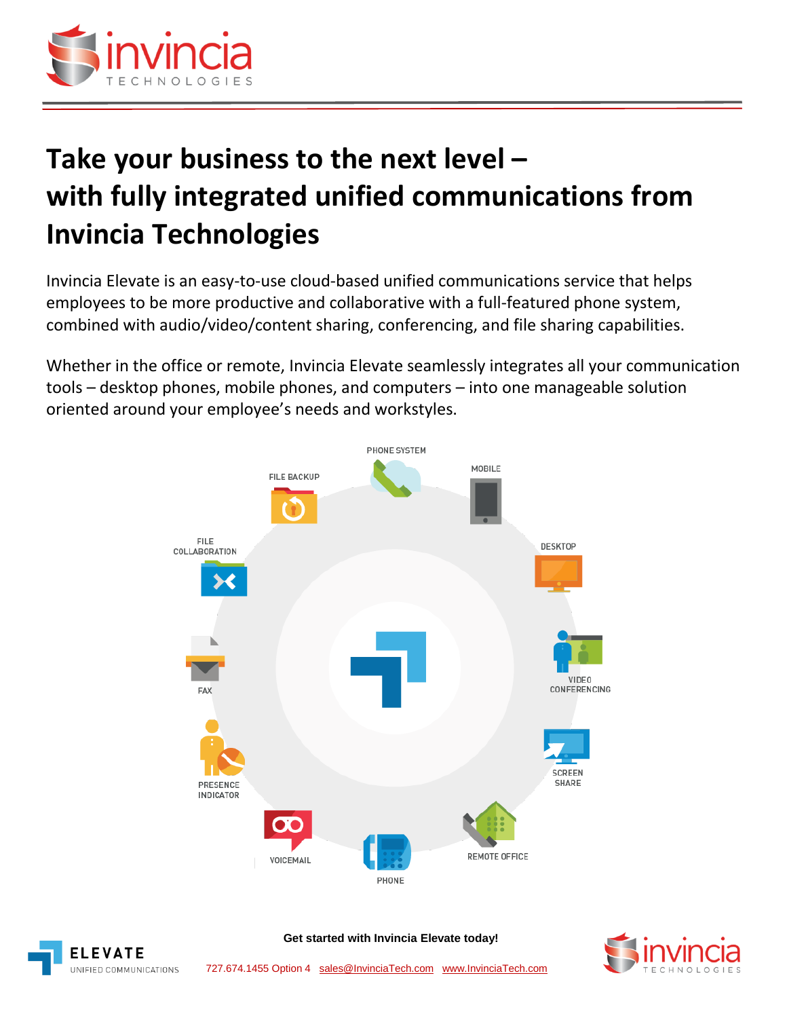

# **Take your business to the next level – with fully integrated unified communications from Invincia Technologies**

Invincia Elevate is an easy-to-use cloud-based unified communications service that helps employees to be more productive and collaborative with a full-featured phone system, combined with audio/video/content sharing, conferencing, and file sharing capabilities.

Whether in the office or remote, Invincia Elevate seamlessly integrates all your communication tools – desktop phones, mobile phones, and computers – into one manageable solution oriented around your employee's needs and workstyles.





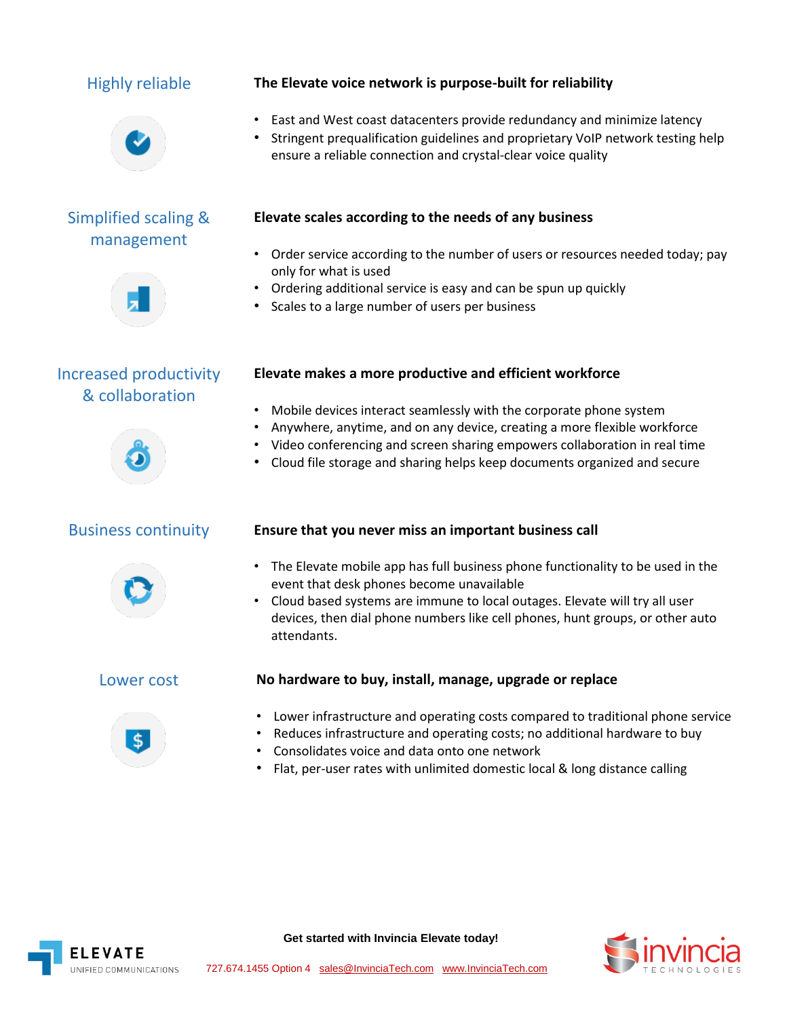

# Simplified scaling & management



Increased productivity & collaboration





### Highly reliable **The Elevate voice network is purpose-built for reliability**

- East and West coast datacenters provide redundancy and minimize latency
- Stringent prequalification guidelines and proprietary VoIP network testing help ensure a reliable connection and crystal-clear voice quality

### **Elevate scales according to the needs of any business**

- Order service according to the number of users or resources needed today; pay only for what is used
- Ordering additional service is easy and can be spun up quickly
- Scales to a large number of users per business

### **Elevate makes a more productive and efficient workforce**

- Mobile devices interact seamlessly with the corporate phone system
- Anywhere, anytime, and on any device, creating a more flexible workforce
- Video conferencing and screen sharing empowers collaboration in real time
- Cloud file storage and sharing helps keep documents organized and secure

### Business continuity **Ensure that you never miss an important business call**

- The Elevate mobile app has full business phone functionality to be used in the event that desk phones become unavailable
- Cloud based systems are immune to local outages. Elevate will try all user devices, then dial phone numbers like cell phones, hunt groups, or other auto attendants.



### Lower cost **No hardware to buy, install, manage, upgrade or replace**

- Lower infrastructure and operating costs compared to traditional phone service
- Reduces infrastructure and operating costs; no additional hardware to buy
- Consolidates voice and data onto one network
- Flat, per-user rates with unlimited domestic local & long distance calling



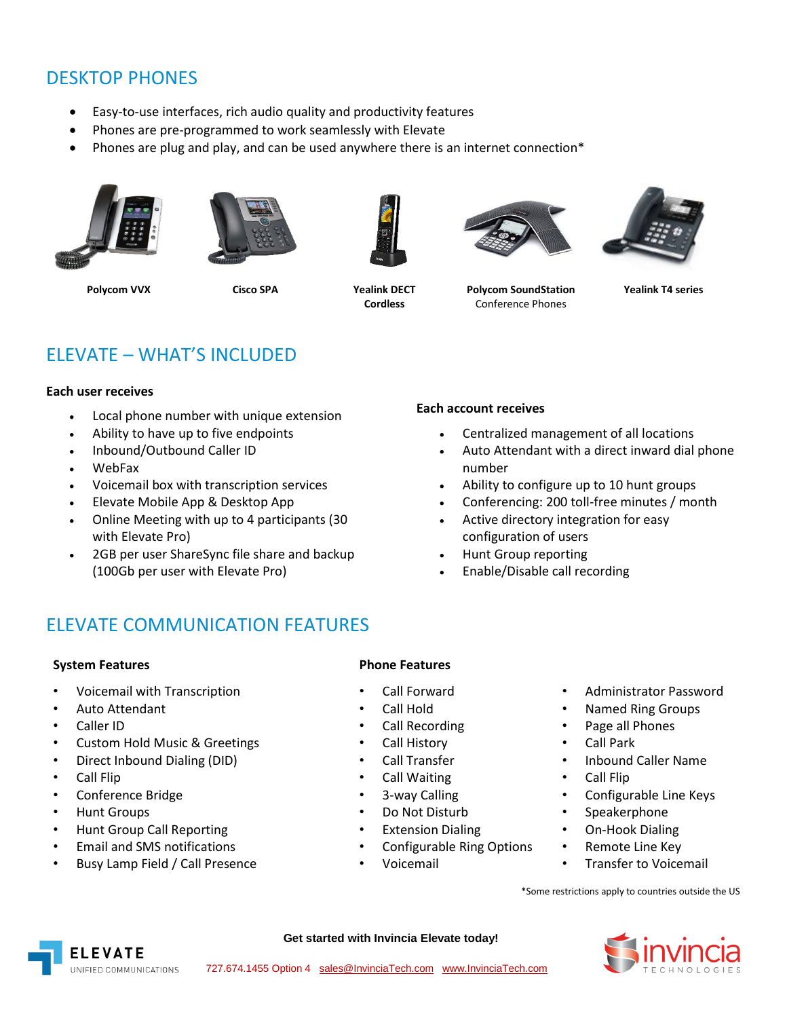# DESKTOP PHONES

- Easy-to-use interfaces, rich audio quality and productivity features
- Phones are pre-programmed to work seamlessly with Elevate
- Phones are plug and play, and can be used anywhere there is an internet connection\*









**Cordless**



**Polycom SoundStation** Conference Phones



**Yealink T4 series**

# ELEVATE – WHAT'S INCLUDED

#### **Each user receives**

- Local phone number with unique extension
- Ability to have up to five endpoints
- Inbound/Outbound Caller ID
- WebFax
- Voicemail box with transcription services
- Elevate Mobile App & Desktop App
- Online Meeting with up to 4 participants (30 with Elevate Pro)
- 2GB per user ShareSync file share and backup (100Gb per user with Elevate Pro)

#### **Each account receives**

- Centralized management of all locations
- Auto Attendant with a direct inward dial phone number
- Ability to configure up to 10 hunt groups
- Conferencing: 200 toll-free minutes / month
- Active directory integration for easy configuration of users
- Hunt Group reporting
- Enable/Disable call recording

# ELEVATE COMMUNICATION FEATURES

#### **System Features Phone Features**

- Voicemail with Transcription Call Forward Administrator Password
- 
- 
- Custom Hold Music & Greetings Call History Call Park
- Direct Inbound Dialing (DID) Call Transfer Inbound Caller Name
- 
- 
- 
- Hunt Group Call Reporting Extension Dialing On-Hook Dialing
- Email and SMS notifications Configurable Ring Options Remote Line Key
- Busy Lamp Field / Call Presence Voicemail Transfer to Voicemail

- 
- 
- 
- 
- 
- Call Flip Call Waiting Call Flip
	-
	-
	-
- 
- Auto Attendant Call Hold Named Ring Groups
- Caller ID Call Recording Page all Phones
	-
	-
	-
- Conference Bridge 3-way Calling Configurable Line Keys
- Hunt Groups Do Not Disturb Speakerphone
	-
	-
	-

\*Some restrictions apply to countries outside the US





- -
	-
	-
	-
- -
	-